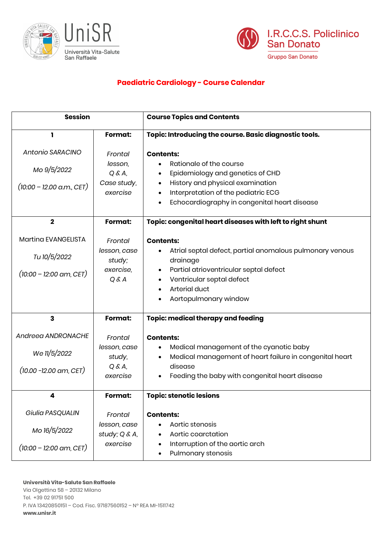



## **Paediatric Cardiology - Course Calendar**

| <b>Session</b>                           |                                   | <b>Course Topics and Contents</b>                                                                  |
|------------------------------------------|-----------------------------------|----------------------------------------------------------------------------------------------------|
| ı                                        | Format:                           | Topic: Introducing the course. Basic diagnostic tools.                                             |
| Antonio SARACINO                         | Frontal                           | <b>Contents:</b>                                                                                   |
| Mo 9/5/2022                              | lesson,<br>$Q & A$ ,              | Rationale of the course<br>Epidemiology and genetics of CHD                                        |
| $(10:00 - 12.00$ a.m., CET)              | Case study,<br>exercise           | History and physical examination<br>$\bullet$<br>Interpretation of the pediatric ECG               |
|                                          |                                   | Echocardiography in congenital heart disease                                                       |
| $\overline{\mathbf{2}}$                  | Format:                           | Topic: congenital heart diseases with left to right shunt                                          |
| Martina EVANGELISTA                      | Frontal                           | <b>Contents:</b>                                                                                   |
| Tu 10/5/2022                             | lesson, case<br>study;            | Atrial septal defect, partial anomalous pulmonary venous<br>drainage                               |
| $(10:00 - 12:00 \text{ am}, \text{CET})$ | exercise.<br>Q & A                | Partial atrioventricular septal defect<br>Ventricular septal defect                                |
|                                          |                                   | Arterial duct                                                                                      |
|                                          |                                   | Aortopulmonary window                                                                              |
| 3                                        | <b>Format:</b>                    | <b>Topic: medical therapy and feeding</b>                                                          |
| Andreea ANDRONACHE                       | Frontal                           | <b>Contents:</b>                                                                                   |
| We 11/5/2022                             | lesson, case<br>study,            | Medical management of the cyanotic baby<br>Medical management of heart failure in congenital heart |
| $(10.00 - 12.00 \text{ am}, \text{CET})$ | $Q & A$ ,<br>exercise             | disease<br>Feeding the baby with congenital heart disease                                          |
|                                          |                                   |                                                                                                    |
| 4                                        | Format:                           | <b>Topic: stenotic lesions</b>                                                                     |
| Giulia PASQUALIN                         | Frontal                           | <b>Contents:</b>                                                                                   |
| Mo 16/5/2022                             | lesson, case<br>study; $Q \& A$ , | Aortic stenosis<br>$\bullet$<br>Aortic coarctation<br>$\bullet$                                    |
| $(10:00 - 12:00 \text{ am}, \text{CET})$ | exercise                          | Interruption of the aortic arch<br>٠<br>Pulmonary stenosis<br>٠                                    |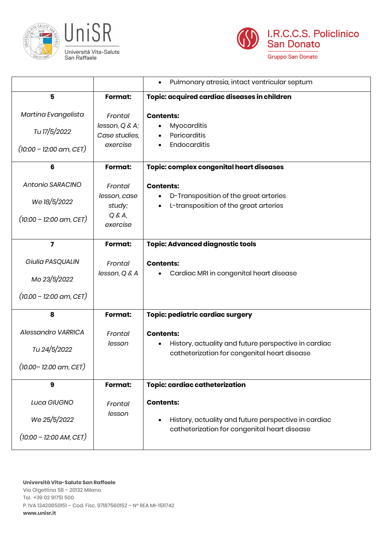



|                                                                              |                                 | Pulmonary atresia, intact ventricular septum<br>$\bullet$                                                                             |
|------------------------------------------------------------------------------|---------------------------------|---------------------------------------------------------------------------------------------------------------------------------------|
| 5                                                                            | Format:                         | Topic: acquired cardiac diseases in children                                                                                          |
| Martina Evangelista                                                          | Frontal                         | <b>Contents:</b>                                                                                                                      |
| Tu 17/5/2022                                                                 | lesson, Q & A;<br>Case studies, | <b>Myocarditis</b><br>Pericarditis                                                                                                    |
| $(10:00 - 12:00 \text{ am}, CET)$                                            | exercise                        | Endocarditis                                                                                                                          |
| $6\phantom{1}$                                                               | Format:                         | Topic: complex congenital heart diseases                                                                                              |
| Antonio SARACINO                                                             | Frontal                         | <b>Contents:</b>                                                                                                                      |
| We 18/5/2022                                                                 | lesson, case<br>study;          | D-Transposition of the great arteries<br>L-transposition of the great arteries                                                        |
| $(10:00 - 12:00$ am, CET)                                                    | $Q & A$ ,<br>exercise           |                                                                                                                                       |
| $\overline{7}$                                                               | Format:                         | <b>Topic: Advanced diagnostic tools</b>                                                                                               |
| Giulia PASQUALIN<br>Mo 23/5/2022<br>$(10.00 - 12.00 \text{ am}, \text{CET})$ | Frontal<br>lesson, Q & A        | <b>Contents:</b><br>Cardiac MRI in congenital heart disease                                                                           |
| 8                                                                            | Format:                         | Topic: pediatric cardiac surgery                                                                                                      |
| Alessandro VARRICA<br>Tu 24/5/2022<br>$(10.00 - 12.00$ am, CET)              | Frontal<br>lesson               | <b>Contents:</b><br>History, actuality and future perspective in cardiac<br>$\bullet$<br>catheterization for congenital heart disease |
| 9                                                                            | Format:                         | <b>Topic: cardiac catheterization</b>                                                                                                 |
| Luca GIUGNO<br>We 25/5/2022<br>$(10:00 - 12:00$ AM, CET)                     | Frontal<br>lesson               | <b>Contents:</b><br>History, actuality and future perspective in cardiac<br>catheterization for congenital heart disease              |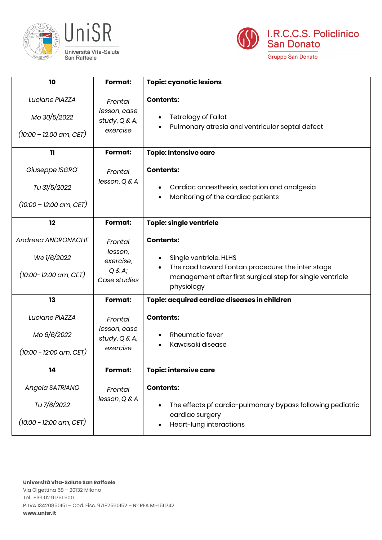



| 10                                                                              | <b>Format:</b>                                            | <b>Topic: cyanotic lesions</b>                                                                                                                                             |
|---------------------------------------------------------------------------------|-----------------------------------------------------------|----------------------------------------------------------------------------------------------------------------------------------------------------------------------------|
| Luciane PIAZZA<br>Mo 30/5/2022<br>$(10:00 - 12.00$ am, CET)                     | Frontal<br>lesson, case<br>study, Q & A,<br>exercise      | <b>Contents:</b><br><b>Tetralogy of Fallot</b><br>Pulmonary atresia and ventricular septal defect                                                                          |
| 11                                                                              | Format:                                                   | <b>Topic: intensive care</b>                                                                                                                                               |
| Giuseppe ISGRO'<br>Tu 31/5/2022<br>$(10:00 - 12:00$ am, CET)                    | Frontal<br>lesson, Q & A                                  | <b>Contents:</b><br>Cardiac anaesthesia, sedation and analgesia<br>Monitoring of the cardiac patients                                                                      |
| 12                                                                              | Format:                                                   | <b>Topic: single ventricle</b>                                                                                                                                             |
| Andreea ANDRONACHE<br>We $1/6/2022$<br>$(10:00 - 12:00 \text{ am}, \text{CET})$ | Frontal<br>lesson,<br>exercise,<br>Q & A;<br>Case studies | <b>Contents:</b><br>Single ventricle. HLHS<br>The road toward Fontan procedure: the inter stage<br>management after first surgical step for single ventricle<br>physiology |
| 13                                                                              | Format:                                                   | Topic: acquired cardiac diseases in children                                                                                                                               |
| Luciane PIAZZA<br>Мо 6/6/2022<br>$(10:00 - 12:00$ am, CET)                      | Frontal<br>lesson, case<br>study, Q & A,<br>exercise      | <b>Contents:</b><br><b>Rheumatic fever</b><br>Kawasaki disease                                                                                                             |
| 14                                                                              | Format:                                                   | <b>Topic: intensive care</b>                                                                                                                                               |
| Angela SATRIANO<br>Tu 7/6/2022<br>$(10:00 - 12:00 \text{ am}, \text{CET})$      | Frontal<br>lesson, Q & A                                  | <b>Contents:</b><br>The effects pf cardio-pulmonary bypass following pediatric<br>cardiac surgery<br>Heart-lung interactions                                               |